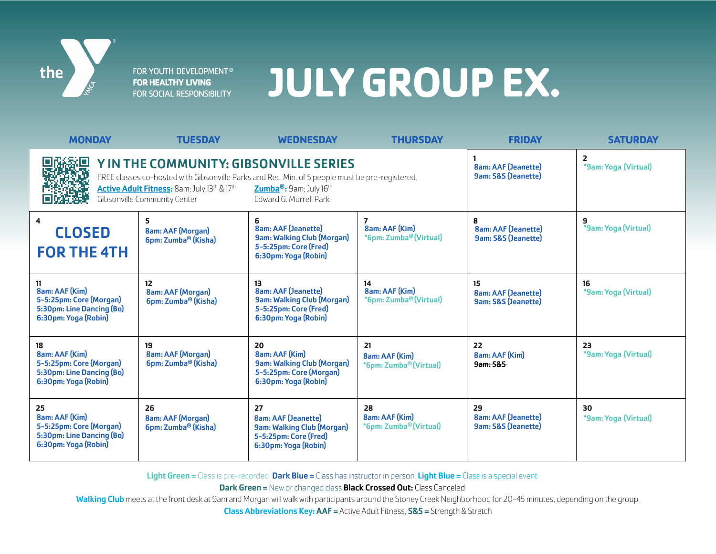

FOR YOUTH DEVELOPMENT® **FOR HEALTHY LIVING** FOR SOCIAL RESPONSIBILITY

# **JULY GROUP EX.**

| <b>MONDAY</b>                                                                                                                                                                                                                                                                                         | <b>TUESDAY</b>                                                    | <b>WEDNESDAY</b>                                                                                                       | <b>THURSDAY</b>                                            | <b>FRIDAY</b>                                                      | <b>SATURDAY</b>            |
|-------------------------------------------------------------------------------------------------------------------------------------------------------------------------------------------------------------------------------------------------------------------------------------------------------|-------------------------------------------------------------------|------------------------------------------------------------------------------------------------------------------------|------------------------------------------------------------|--------------------------------------------------------------------|----------------------------|
| Y IN THE COMMUNITY: GIBSONVILLE SERIES<br>FREE classes co-hosted with Gibsonville Parks and Rec. Min. of 5 people must be pre-registered.<br>Active Adult Fitness: 8am; July 13th & 17th<br>Zumba <sup>®</sup> : 9am; July 16 <sup>th</sup><br>Gibsonville Community Center<br>Edward G. Murrell Park |                                                                   |                                                                                                                        |                                                            | <b>8am: AAF (Jeanette)</b><br>9am: S&S (Jeanette)                  | 2<br>*9am: Yoga (Virtual)  |
| 4<br><b>CLOSED</b><br><b>FOR THE 4TH</b>                                                                                                                                                                                                                                                              | 5<br>8am: AAF (Morgan)<br>6pm: Zumba <sup>®</sup> (Kisha)         | 6<br><b>8am: AAF (Jeanette)</b><br><b>9am: Walking Club (Morgan)</b><br>5-5:25pm: Core (Fred)<br>6:30pm: Yoga (Robin)  | 7<br>8am: AAF (Kim)<br>*6pm: Zumba® (Virtual)              | 8<br><b>8am: AAF (Jeanette)</b><br><b>9am: S&amp;S (Jeanette)</b>  | 9<br>*9am: Yoga (Virtual)  |
| 8am: AAF (Kim)<br>5-5:25pm: Core (Morgan)<br>5:30pm: Line Dancing (Bo)<br>6:30pm: Yoga (Robin)                                                                                                                                                                                                        | 12<br><b>8am: AAF (Morgan)</b><br>6pm: Zumba <sup>®</sup> (Kisha) | 13<br><b>8am: AAF (Jeanette)</b><br><b>9am: Walking Club (Morgan)</b><br>5-5:25pm: Core (Fred)<br>6:30pm: Yoga (Robin) | 14<br>8am: AAF (Kim)<br>*6pm: Zumba® (Virtual)             | 15<br><b>8am: AAF (Jeanette)</b><br>9am: S&S (Jeanette)            | 16<br>*9am: Yoga (Virtual) |
| 18<br>8am: AAF (Kim)<br>5-5:25pm: Core (Morgan)<br>5:30pm: Line Dancing (Bo)<br>6:30pm: Yoga (Robin)                                                                                                                                                                                                  | 19<br><b>8am: AAF (Morgan)</b><br>6pm: Zumba <sup>®</sup> (Kisha) | 20<br>8am: AAF (Kim)<br><b>9am: Walking Club (Morgan)</b><br>5-5:25pm: Core (Morgan)<br>6:30pm: Yoga (Robin)           | 21<br>8am: AAF (Kim)<br>*6pm: Zumba <sup>®</sup> (Virtual) | 22<br>8am: AAF (Kim)<br>9am: 5&5                                   | 23<br>*9am: Yoga (Virtual) |
| 25<br>8am: AAF (Kim)<br>5-5:25pm: Core (Morgan)<br>5:30pm: Line Dancing (Bo)<br>6:30pm: Yoga (Robin)                                                                                                                                                                                                  | 26<br>8am: AAF (Morgan)<br>6pm: Zumba <sup>®</sup> (Kisha)        | 27<br><b>8am: AAF (Jeanette)</b><br><b>9am: Walking Club (Morgan)</b><br>5-5:25pm: Core (Fred)<br>6:30pm: Yoga (Robin) | 28<br>8am: AAF (Kim)<br>*6pm: Zumba <sup>®</sup> (Virtual) | 29<br><b>8am: AAF (Jeanette)</b><br><b>9am: S&amp;S (Jeanette)</b> | 30<br>*9am: Yoga (Virtual) |

Light Green = Class is pre-recorded Dark Blue = Class has instructor in person Light Blue = Class is a special event

**Dark Green = New or changed class Black Crossed Out: Class Canceled** 

Walking Club meets at the front desk at 9am and Morgan will walk with participants around the Stoney Creek Neighborhood for 20-45 minutes, depending on the group.

Class Abbreviations Key: AAF = Active Adult Fitness, S&S = Strength & Stretch